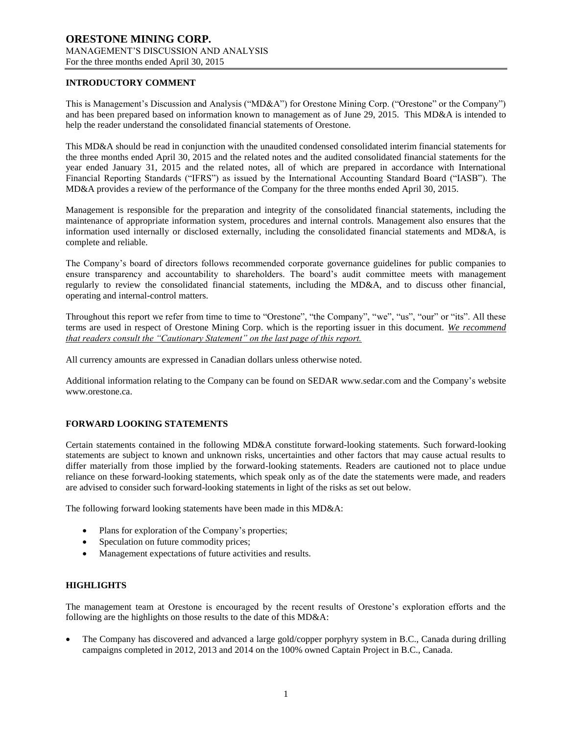# **INTRODUCTORY COMMENT**

This is Management's Discussion and Analysis ("MD&A") for Orestone Mining Corp. ("Orestone" or the Company") and has been prepared based on information known to management as of June 29, 2015. This MD&A is intended to help the reader understand the consolidated financial statements of Orestone.

This MD&A should be read in conjunction with the unaudited condensed consolidated interim financial statements for the three months ended April 30, 2015 and the related notes and the audited consolidated financial statements for the year ended January 31, 2015 and the related notes, all of which are prepared in accordance with International Financial Reporting Standards ("IFRS") as issued by the International Accounting Standard Board ("IASB"). The MD&A provides a review of the performance of the Company for the three months ended April 30, 2015.

Management is responsible for the preparation and integrity of the consolidated financial statements, including the maintenance of appropriate information system, procedures and internal controls. Management also ensures that the information used internally or disclosed externally, including the consolidated financial statements and MD&A, is complete and reliable.

The Company's board of directors follows recommended corporate governance guidelines for public companies to ensure transparency and accountability to shareholders. The board's audit committee meets with management regularly to review the consolidated financial statements, including the MD&A, and to discuss other financial, operating and internal-control matters.

Throughout this report we refer from time to time to "Orestone", "the Company", "we", "us", "our" or "its". All these terms are used in respect of Orestone Mining Corp. which is the reporting issuer in this document. *We recommend that readers consult the "Cautionary Statement" on the last page of this report.*

All currency amounts are expressed in Canadian dollars unless otherwise noted.

Additional information relating to the Company can be found on SEDAR www.sedar.com and the Company's website www.orestone.ca.

# **FORWARD LOOKING STATEMENTS**

Certain statements contained in the following MD&A constitute forward-looking statements. Such forward-looking statements are subject to known and unknown risks, uncertainties and other factors that may cause actual results to differ materially from those implied by the forward-looking statements. Readers are cautioned not to place undue reliance on these forward-looking statements, which speak only as of the date the statements were made, and readers are advised to consider such forward-looking statements in light of the risks as set out below.

The following forward looking statements have been made in this MD&A:

- Plans for exploration of the Company's properties;
- Speculation on future commodity prices;
- Management expectations of future activities and results.

## **HIGHLIGHTS**

The management team at Orestone is encouraged by the recent results of Orestone's exploration efforts and the following are the highlights on those results to the date of this MD&A:

 The Company has discovered and advanced a large gold/copper porphyry system in B.C., Canada during drilling campaigns completed in 2012, 2013 and 2014 on the 100% owned Captain Project in B.C., Canada.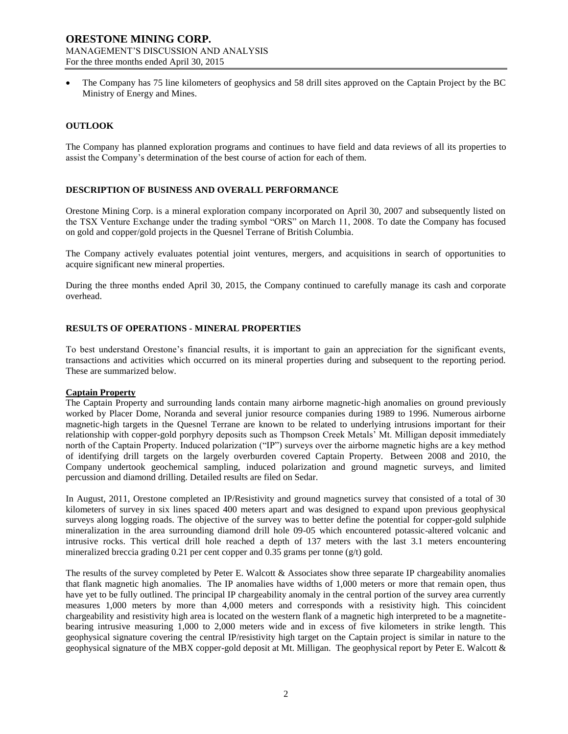The Company has 75 line kilometers of geophysics and 58 drill sites approved on the Captain Project by the BC Ministry of Energy and Mines.

## **OUTLOOK**

The Company has planned exploration programs and continues to have field and data reviews of all its properties to assist the Company's determination of the best course of action for each of them.

## **DESCRIPTION OF BUSINESS AND OVERALL PERFORMANCE**

Orestone Mining Corp. is a mineral exploration company incorporated on April 30, 2007 and subsequently listed on the TSX Venture Exchange under the trading symbol "ORS" on March 11, 2008. To date the Company has focused on gold and copper/gold projects in the Quesnel Terrane of British Columbia.

The Company actively evaluates potential joint ventures, mergers, and acquisitions in search of opportunities to acquire significant new mineral properties.

During the three months ended April 30, 2015, the Company continued to carefully manage its cash and corporate overhead.

## **RESULTS OF OPERATIONS - MINERAL PROPERTIES**

To best understand Orestone's financial results, it is important to gain an appreciation for the significant events, transactions and activities which occurred on its mineral properties during and subsequent to the reporting period. These are summarized below.

## **Captain Property**

The Captain Property and surrounding lands contain many airborne magnetic-high anomalies on ground previously worked by Placer Dome, Noranda and several junior resource companies during 1989 to 1996. Numerous airborne magnetic-high targets in the Quesnel Terrane are known to be related to underlying intrusions important for their relationship with copper-gold porphyry deposits such as Thompson Creek Metals' Mt. Milligan deposit immediately north of the Captain Property. Induced polarization ("IP") surveys over the airborne magnetic highs are a key method of identifying drill targets on the largely overburden covered Captain Property. Between 2008 and 2010, the Company undertook geochemical sampling, induced polarization and ground magnetic surveys, and limited percussion and diamond drilling. Detailed results are filed on Sedar.

In August, 2011, Orestone completed an IP/Resistivity and ground magnetics survey that consisted of a total of 30 kilometers of survey in six lines spaced 400 meters apart and was designed to expand upon previous geophysical surveys along logging roads. The objective of the survey was to better define the potential for copper-gold sulphide mineralization in the area surrounding diamond drill hole 09-05 which encountered potassic-altered volcanic and intrusive rocks. This vertical drill hole reached a depth of 137 meters with the last 3.1 meters encountering mineralized breccia grading 0.21 per cent copper and  $0.35$  grams per tonne (g/t) gold.

The results of the survey completed by Peter E. Walcott & Associates show three separate IP chargeability anomalies that flank magnetic high anomalies. The IP anomalies have widths of 1,000 meters or more that remain open, thus have yet to be fully outlined. The principal IP chargeability anomaly in the central portion of the survey area currently measures 1,000 meters by more than 4,000 meters and corresponds with a resistivity high. This coincident chargeability and resistivity high area is located on the western flank of a magnetic high interpreted to be a magnetitebearing intrusive measuring 1,000 to 2,000 meters wide and in excess of five kilometers in strike length. This geophysical signature covering the central IP/resistivity high target on the Captain project is similar in nature to the geophysical signature of the MBX copper-gold deposit at Mt. Milligan. The geophysical report by Peter E. Walcott &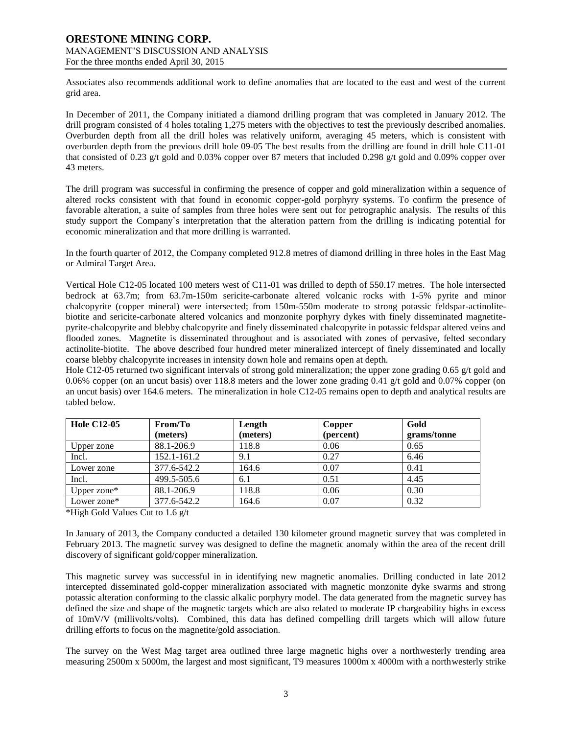Associates also recommends additional work to define anomalies that are located to the east and west of the current grid area.

In December of 2011, the Company initiated a diamond drilling program that was completed in January 2012. The drill program consisted of 4 holes totaling 1,275 meters with the objectives to test the previously described anomalies. Overburden depth from all the drill holes was relatively uniform, averaging 45 meters, which is consistent with overburden depth from the previous drill hole 09-05 The best results from the drilling are found in drill hole C11-01 that consisted of 0.23 g/t gold and 0.03% copper over 87 meters that included 0.298 g/t gold and 0.09% copper over 43 meters.

The drill program was successful in confirming the presence of copper and gold mineralization within a sequence of altered rocks consistent with that found in economic copper-gold porphyry systems. To confirm the presence of favorable alteration, a suite of samples from three holes were sent out for petrographic analysis. The results of this study support the Company`s interpretation that the alteration pattern from the drilling is indicating potential for economic mineralization and that more drilling is warranted.

In the fourth quarter of 2012, the Company completed 912.8 metres of diamond drilling in three holes in the East Mag or Admiral Target Area.

Vertical Hole C12-05 located 100 meters west of C11-01 was drilled to depth of 550.17 metres. The hole intersected bedrock at 63.7m; from 63.7m-150m sericite-carbonate altered volcanic rocks with 1-5% pyrite and minor chalcopyrite (copper mineral) were intersected; from 150m-550m moderate to strong potassic feldspar-actinolitebiotite and sericite-carbonate altered volcanics and monzonite porphyry dykes with finely disseminated magnetitepyrite-chalcopyrite and blebby chalcopyrite and finely disseminated chalcopyrite in potassic feldspar altered veins and flooded zones. Magnetite is disseminated throughout and is associated with zones of pervasive, felted secondary actinolite-biotite. The above described four hundred meter mineralized intercept of finely disseminated and locally coarse blebby chalcopyrite increases in intensity down hole and remains open at depth.

Hole C12-05 returned two significant intervals of strong gold mineralization; the upper zone grading 0.65 g/t gold and 0.06% copper (on an uncut basis) over 118.8 meters and the lower zone grading 0.41 g/t gold and 0.07% copper (on an uncut basis) over 164.6 meters. The mineralization in hole C12-05 remains open to depth and analytical results are tabled below.

| <b>Hole C12-05</b> | From/To     | Length   | Copper    | Gold        |
|--------------------|-------------|----------|-----------|-------------|
|                    | (meters)    | (meters) | (percent) | grams/tonne |
| Upper zone         | 88.1-206.9  | 118.8    | 0.06      | 0.65        |
| Incl.              | 152.1-161.2 | 9.1      | 0.27      | 6.46        |
| Lower zone         | 377.6-542.2 | 164.6    | 0.07      | 0.41        |
| Incl.              | 499.5-505.6 | 6.1      | 0.51      | 4.45        |
| Upper zone $*$     | 88.1-206.9  | 118.8    | 0.06      | 0.30        |
| Lower zone*        | 377.6-542.2 | 164.6    | 0.07      | 0.32        |

\*High Gold Values Cut to 1.6 g/t

In January of 2013, the Company conducted a detailed 130 kilometer ground magnetic survey that was completed in February 2013. The magnetic survey was designed to define the magnetic anomaly within the area of the recent drill discovery of significant gold/copper mineralization.

This magnetic survey was successful in in identifying new magnetic anomalies. Drilling conducted in late 2012 intercepted disseminated gold-copper mineralization associated with magnetic monzonite dyke swarms and strong potassic alteration conforming to the classic alkalic porphyry model. The data generated from the magnetic survey has defined the size and shape of the magnetic targets which are also related to moderate IP chargeability highs in excess of 10mV/V (millivolts/volts). Combined, this data has defined compelling drill targets which will allow future drilling efforts to focus on the magnetite/gold association.

The survey on the West Mag target area outlined three large magnetic highs over a northwesterly trending area measuring 2500m x 5000m, the largest and most significant, T9 measures 1000m x 4000m with a northwesterly strike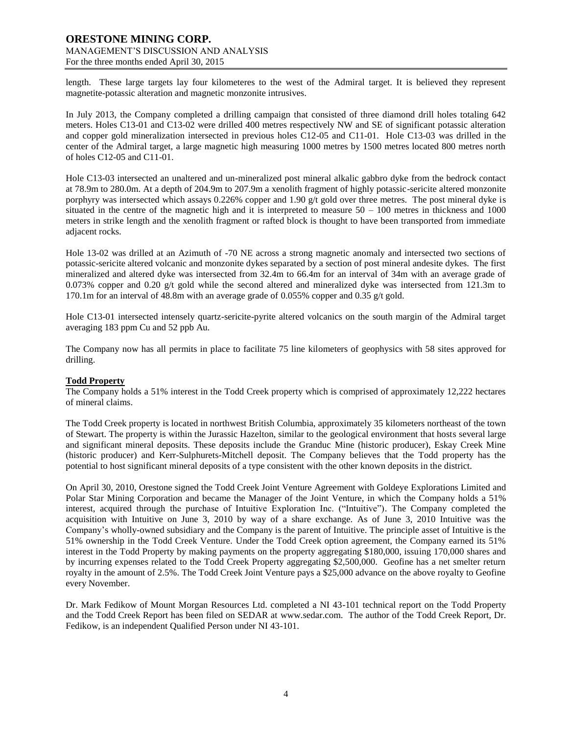length. These large targets lay four kilometeres to the west of the Admiral target. It is believed they represent magnetite-potassic alteration and magnetic monzonite intrusives.

In July 2013, the Company completed a drilling campaign that consisted of three diamond drill holes totaling 642 meters. Holes C13-01 and C13-02 were drilled 400 metres respectively NW and SE of significant potassic alteration and copper gold mineralization intersected in previous holes C12-05 and C11-01. Hole C13-03 was drilled in the center of the Admiral target, a large magnetic high measuring 1000 metres by 1500 metres located 800 metres north of holes C12-05 and C11-01.

Hole C13-03 intersected an unaltered and un-mineralized post mineral alkalic gabbro dyke from the bedrock contact at 78.9m to 280.0m. At a depth of 204.9m to 207.9m a xenolith fragment of highly potassic-sericite altered monzonite porphyry was intersected which assays 0.226% copper and 1.90 g/t gold over three metres. The post mineral dyke is situated in the centre of the magnetic high and it is interpreted to measure  $50 - 100$  metres in thickness and 1000 meters in strike length and the xenolith fragment or rafted block is thought to have been transported from immediate adjacent rocks.

Hole 13-02 was drilled at an Azimuth of -70 NE across a strong magnetic anomaly and intersected two sections of potassic-sericite altered volcanic and monzonite dykes separated by a section of post mineral andesite dykes. The first mineralized and altered dyke was intersected from 32.4m to 66.4m for an interval of 34m with an average grade of 0.073% copper and 0.20 g/t gold while the second altered and mineralized dyke was intersected from 121.3m to 170.1m for an interval of 48.8m with an average grade of 0.055% copper and 0.35 g/t gold.

Hole C13-01 intersected intensely quartz-sericite-pyrite altered volcanics on the south margin of the Admiral target averaging 183 ppm Cu and 52 ppb Au.

The Company now has all permits in place to facilitate 75 line kilometers of geophysics with 58 sites approved for drilling.

## **Todd Property**

The Company holds a 51% interest in the Todd Creek property which is comprised of approximately 12,222 hectares of mineral claims.

The Todd Creek property is located in northwest British Columbia, approximately 35 kilometers northeast of the town of Stewart. The property is within the Jurassic Hazelton, similar to the geological environment that hosts several large and significant mineral deposits. These deposits include the Granduc Mine (historic producer), Eskay Creek Mine (historic producer) and Kerr-Sulphurets-Mitchell deposit. The Company believes that the Todd property has the potential to host significant mineral deposits of a type consistent with the other known deposits in the district.

On April 30, 2010, Orestone signed the Todd Creek Joint Venture Agreement with Goldeye Explorations Limited and Polar Star Mining Corporation and became the Manager of the Joint Venture, in which the Company holds a 51% interest, acquired through the purchase of Intuitive Exploration Inc. ("Intuitive"). The Company completed the acquisition with Intuitive on June 3, 2010 by way of a share exchange. As of June 3, 2010 Intuitive was the Company's wholly-owned subsidiary and the Company is the parent of Intuitive. The principle asset of Intuitive is the 51% ownership in the Todd Creek Venture. Under the Todd Creek option agreement, the Company earned its 51% interest in the Todd Property by making payments on the property aggregating \$180,000, issuing 170,000 shares and by incurring expenses related to the Todd Creek Property aggregating \$2,500,000. Geofine has a net smelter return royalty in the amount of 2.5%. The Todd Creek Joint Venture pays a \$25,000 advance on the above royalty to Geofine every November.

Dr. Mark Fedikow of Mount Morgan Resources Ltd. completed a NI 43-101 technical report on the Todd Property and the Todd Creek Report has been filed on SEDAR at [www.sedar.com.](http://www.sedar.com/) The author of the Todd Creek Report, Dr. Fedikow, is an independent Qualified Person under NI 43-101.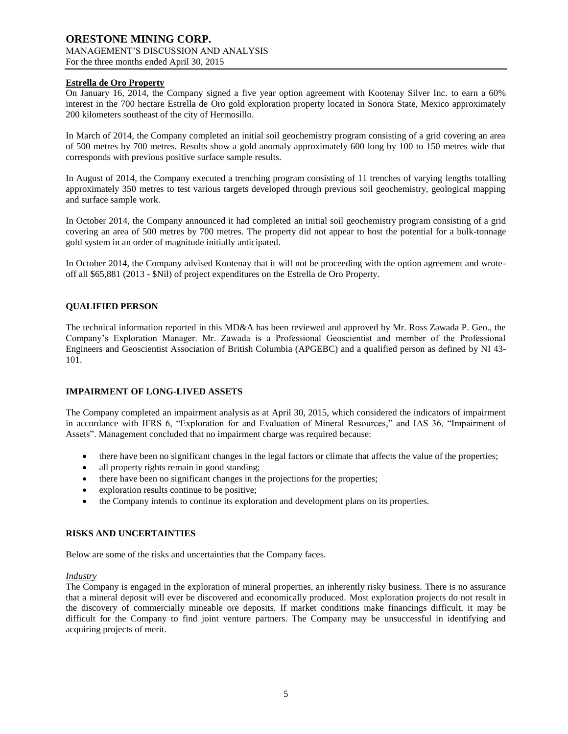# **Estrella de Oro Property**

On January 16, 2014, the Company signed a five year option agreement with Kootenay Silver Inc. to earn a 60% interest in the 700 hectare Estrella de Oro gold exploration property located in Sonora State, Mexico approximately 200 kilometers southeast of the city of Hermosillo.

In March of 2014, the Company completed an initial soil geochemistry program consisting of a grid covering an area of 500 metres by 700 metres. Results show a gold anomaly approximately 600 long by 100 to 150 metres wide that corresponds with previous positive surface sample results.

In August of 2014, the Company executed a trenching program consisting of 11 trenches of varying lengths totalling approximately 350 metres to test various targets developed through previous soil geochemistry, geological mapping and surface sample work.

In October 2014, the Company announced it had completed an initial soil geochemistry program consisting of a grid covering an area of 500 metres by 700 metres. The property did not appear to host the potential for a bulk-tonnage gold system in an order of magnitude initially anticipated.

In October 2014, the Company advised Kootenay that it will not be proceeding with the option agreement and wroteoff all \$65,881 (2013 - \$Nil) of project expenditures on the Estrella de Oro Property.

# **QUALIFIED PERSON**

The technical information reported in this MD&A has been reviewed and approved by Mr. Ross Zawada P. Geo., the Company's Exploration Manager. Mr. Zawada is a Professional Geoscientist and member of the Professional Engineers and Geoscientist Association of British Columbia (APGEBC) and a qualified person as defined by NI 43- 101.

## **IMPAIRMENT OF LONG-LIVED ASSETS**

The Company completed an impairment analysis as at April 30, 2015, which considered the indicators of impairment in accordance with IFRS 6, "Exploration for and Evaluation of Mineral Resources," and IAS 36, "Impairment of Assets". Management concluded that no impairment charge was required because:

- there have been no significant changes in the legal factors or climate that affects the value of the properties;
- all property rights remain in good standing;
- there have been no significant changes in the projections for the properties;
- exploration results continue to be positive;
- the Company intends to continue its exploration and development plans on its properties.

## **RISKS AND UNCERTAINTIES**

Below are some of the risks and uncertainties that the Company faces.

## *Industry*

The Company is engaged in the exploration of mineral properties, an inherently risky business. There is no assurance that a mineral deposit will ever be discovered and economically produced. Most exploration projects do not result in the discovery of commercially mineable ore deposits. If market conditions make financings difficult, it may be difficult for the Company to find joint venture partners. The Company may be unsuccessful in identifying and acquiring projects of merit.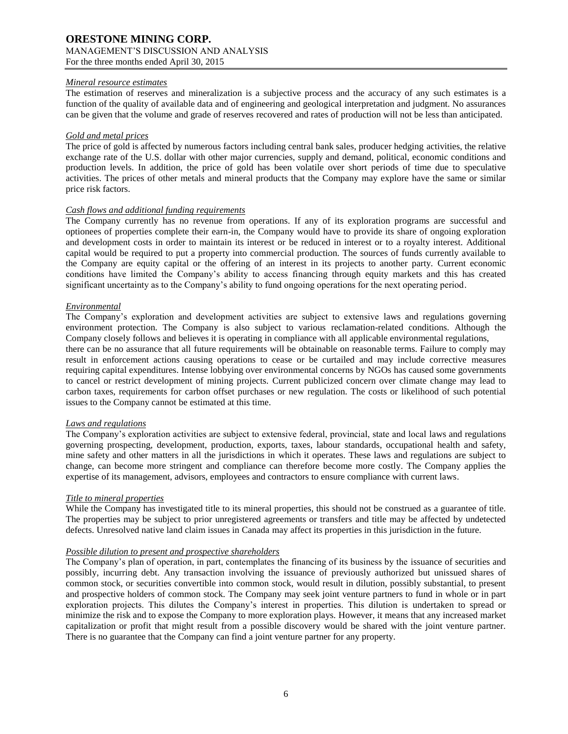## *Mineral resource estimates*

The estimation of reserves and mineralization is a subjective process and the accuracy of any such estimates is a function of the quality of available data and of engineering and geological interpretation and judgment. No assurances can be given that the volume and grade of reserves recovered and rates of production will not be less than anticipated.

## *Gold and metal prices*

The price of gold is affected by numerous factors including central bank sales, producer hedging activities, the relative exchange rate of the U.S. dollar with other major currencies, supply and demand, political, economic conditions and production levels. In addition, the price of gold has been volatile over short periods of time due to speculative activities. The prices of other metals and mineral products that the Company may explore have the same or similar price risk factors.

## *Cash flows and additional funding requirements*

The Company currently has no revenue from operations. If any of its exploration programs are successful and optionees of properties complete their earn-in, the Company would have to provide its share of ongoing exploration and development costs in order to maintain its interest or be reduced in interest or to a royalty interest. Additional capital would be required to put a property into commercial production. The sources of funds currently available to the Company are equity capital or the offering of an interest in its projects to another party. Current economic conditions have limited the Company's ability to access financing through equity markets and this has created significant uncertainty as to the Company's ability to fund ongoing operations for the next operating period.

## *Environmental*

The Company's exploration and development activities are subject to extensive laws and regulations governing environment protection. The Company is also subject to various reclamation-related conditions. Although the Company closely follows and believes it is operating in compliance with all applicable environmental regulations, there can be no assurance that all future requirements will be obtainable on reasonable terms. Failure to comply may

result in enforcement actions causing operations to cease or be curtailed and may include corrective measures requiring capital expenditures. Intense lobbying over environmental concerns by NGOs has caused some governments to cancel or restrict development of mining projects. Current publicized concern over climate change may lead to carbon taxes, requirements for carbon offset purchases or new regulation. The costs or likelihood of such potential issues to the Company cannot be estimated at this time.

# *Laws and regulations*

The Company's exploration activities are subject to extensive federal, provincial, state and local laws and regulations governing prospecting, development, production, exports, taxes, labour standards, occupational health and safety, mine safety and other matters in all the jurisdictions in which it operates. These laws and regulations are subject to change, can become more stringent and compliance can therefore become more costly. The Company applies the expertise of its management, advisors, employees and contractors to ensure compliance with current laws.

# *Title to mineral properties*

While the Company has investigated title to its mineral properties, this should not be construed as a guarantee of title. The properties may be subject to prior unregistered agreements or transfers and title may be affected by undetected defects. Unresolved native land claim issues in Canada may affect its properties in this jurisdiction in the future.

# *Possible dilution to present and prospective shareholders*

The Company's plan of operation, in part, contemplates the financing of its business by the issuance of securities and possibly, incurring debt. Any transaction involving the issuance of previously authorized but unissued shares of common stock, or securities convertible into common stock, would result in dilution, possibly substantial, to present and prospective holders of common stock. The Company may seek joint venture partners to fund in whole or in part exploration projects. This dilutes the Company's interest in properties. This dilution is undertaken to spread or minimize the risk and to expose the Company to more exploration plays. However, it means that any increased market capitalization or profit that might result from a possible discovery would be shared with the joint venture partner. There is no guarantee that the Company can find a joint venture partner for any property.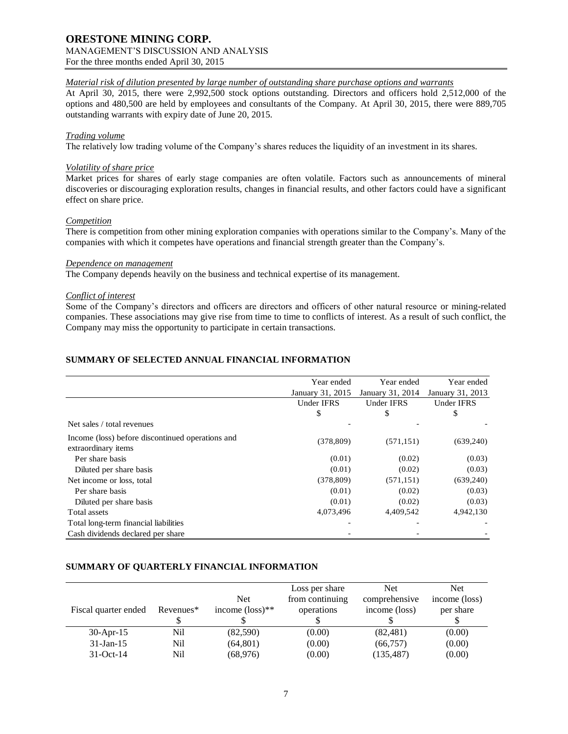# **ORESTONE MINING CORP.**

# MANAGEMENT'S DISCUSSION AND ANALYSIS

For the three months ended April 30, 2015

# *Material risk of dilution presented by large number of outstanding share purchase options and warrants*

At April 30, 2015, there were 2,992,500 stock options outstanding. Directors and officers hold 2,512,000 of the options and 480,500 are held by employees and consultants of the Company. At April 30, 2015, there were 889,705 outstanding warrants with expiry date of June 20, 2015.

# *Trading volume*

The relatively low trading volume of the Company's shares reduces the liquidity of an investment in its shares.

# *Volatility of share price*

Market prices for shares of early stage companies are often volatile. Factors such as announcements of mineral discoveries or discouraging exploration results, changes in financial results, and other factors could have a significant effect on share price.

# *Competition*

There is competition from other mining exploration companies with operations similar to the Company's. Many of the companies with which it competes have operations and financial strength greater than the Company's.

## *Dependence on management*

The Company depends heavily on the business and technical expertise of its management.

# *Conflict of interest*

Some of the Company's directors and officers are directors and officers of other natural resource or mining-related companies. These associations may give rise from time to time to conflicts of interest. As a result of such conflict, the Company may miss the opportunity to participate in certain transactions.

# **SUMMARY OF SELECTED ANNUAL FINANCIAL INFORMATION**

|                                                                         | Year ended        | Year ended<br>January 31, 2015<br>January 31, 2014 |                   |
|-------------------------------------------------------------------------|-------------------|----------------------------------------------------|-------------------|
|                                                                         |                   |                                                    |                   |
|                                                                         | <b>Under IFRS</b> | <b>Under IFRS</b>                                  | <b>Under IFRS</b> |
|                                                                         | \$                | \$                                                 | \$                |
| Net sales / total revenues                                              |                   |                                                    |                   |
| Income (loss) before discontinued operations and<br>extraordinary items | (378, 809)        | (571, 151)                                         | (639, 240)        |
| Per share basis                                                         | (0.01)            | (0.02)                                             | (0.03)            |
| Diluted per share basis                                                 | (0.01)            | (0.02)                                             | (0.03)            |
| Net income or loss, total                                               | (378, 809)        | (571, 151)                                         | (639, 240)        |
| Per share basis                                                         | (0.01)            | (0.02)                                             | (0.03)            |
| Diluted per share basis                                                 | (0.01)            | (0.02)                                             | (0.03)            |
| Total assets                                                            | 4,073,496         | 4,409,542                                          | 4,942,130         |
| Total long-term financial liabilities                                   |                   |                                                    |                   |
| Cash dividends declared per share                                       |                   |                                                    |                   |

# **SUMMARY OF QUARTERLY FINANCIAL INFORMATION**

| Fiscal quarter ended | Revenues <sup>*</sup> | <b>Net</b><br>income $(\text{loss})^{**}$ | Loss per share<br>from continuing<br>operations | <b>Net</b><br>comprehensive<br>income (loss) | <b>Net</b><br>income (loss)<br>per share |
|----------------------|-----------------------|-------------------------------------------|-------------------------------------------------|----------------------------------------------|------------------------------------------|
| $30-Apr-15$          | Nil                   | (82,590)                                  | (0.00)                                          | (82, 481)                                    | (0.00)                                   |
| $31$ -Jan-15         | Nil                   | (64, 801)                                 | (0.00)                                          | (66, 757)                                    | (0.00)                                   |
| $31-Oct-14$          | Nil                   | (68, 976)                                 | (0.00)                                          | (135, 487)                                   | (0.00)                                   |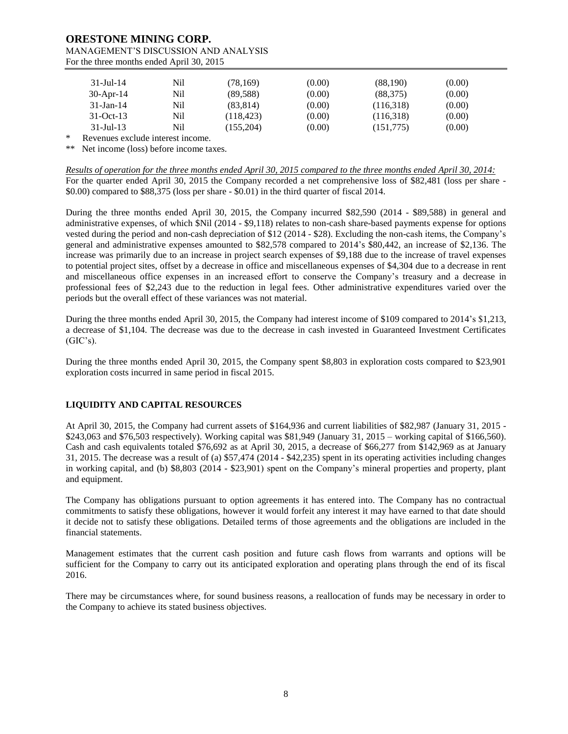| $31 -$ Jul - 14 | Nil | (78, 169)  | (0.00) | (88,190)  | (0.00) |
|-----------------|-----|------------|--------|-----------|--------|
| $30$ -Apr-14    | Nil | (89, 588)  | (0.00) | (88, 375) | (0.00) |
| $31$ -Jan-14    | Nil | (83, 814)  | (0.00) | (116,318) | (0.00) |
| $31-Oct-13$     | Nil | (118, 423) | (0.00) | (116,318) | (0.00) |
| $31 -$ Jul - 13 | Nil | (155,204)  | (0.00) | (151,775) | (0.00) |

Revenues exclude interest income.

\*\* Net income (loss) before income taxes.

*Results of operation for the three months ended April 30, 2015 compared to the three months ended April 30, 2014:* For the quarter ended April 30, 2015 the Company recorded a net comprehensive loss of \$82,481 (loss per share - \$0.00) compared to \$88,375 (loss per share - \$0.01) in the third quarter of fiscal 2014.

During the three months ended April 30, 2015, the Company incurred \$82,590 (2014 - \$89,588) in general and administrative expenses, of which \$Nil (2014 - \$9,118) relates to non-cash share-based payments expense for options vested during the period and non-cash depreciation of \$12 (2014 - \$28). Excluding the non-cash items, the Company's general and administrative expenses amounted to \$82,578 compared to 2014's \$80,442, an increase of \$2,136. The increase was primarily due to an increase in project search expenses of \$9,188 due to the increase of travel expenses to potential project sites, offset by a decrease in office and miscellaneous expenses of \$4,304 due to a decrease in rent and miscellaneous office expenses in an increased effort to conserve the Company's treasury and a decrease in professional fees of \$2,243 due to the reduction in legal fees. Other administrative expenditures varied over the periods but the overall effect of these variances was not material.

During the three months ended April 30, 2015, the Company had interest income of \$109 compared to 2014's \$1,213, a decrease of \$1,104. The decrease was due to the decrease in cash invested in Guaranteed Investment Certificates  $(GIC's)$ .

During the three months ended April 30, 2015, the Company spent \$8,803 in exploration costs compared to \$23,901 exploration costs incurred in same period in fiscal 2015.

# **LIQUIDITY AND CAPITAL RESOURCES**

At April 30, 2015, the Company had current assets of \$164,936 and current liabilities of \$82,987 (January 31, 2015 - \$243,063 and \$76,503 respectively). Working capital was \$81,949 (January 31, 2015 – working capital of \$166,560). Cash and cash equivalents totaled \$76,692 as at April 30, 2015, a decrease of \$66,277 from \$142,969 as at January 31, 2015. The decrease was a result of (a) \$57,474 (2014 - \$42,235) spent in its operating activities including changes in working capital, and (b) \$8,803 (2014 - \$23,901) spent on the Company's mineral properties and property, plant and equipment.

The Company has obligations pursuant to option agreements it has entered into. The Company has no contractual commitments to satisfy these obligations, however it would forfeit any interest it may have earned to that date should it decide not to satisfy these obligations. Detailed terms of those agreements and the obligations are included in the financial statements.

Management estimates that the current cash position and future cash flows from warrants and options will be sufficient for the Company to carry out its anticipated exploration and operating plans through the end of its fiscal 2016.

There may be circumstances where, for sound business reasons, a reallocation of funds may be necessary in order to the Company to achieve its stated business objectives.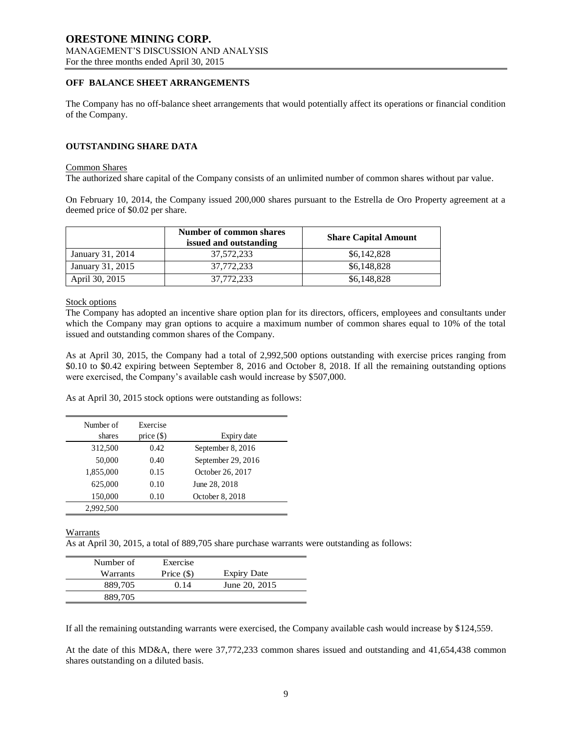# **OFF BALANCE SHEET ARRANGEMENTS**

The Company has no off-balance sheet arrangements that would potentially affect its operations or financial condition of the Company.

## **OUTSTANDING SHARE DATA**

#### Common Shares

The authorized share capital of the Company consists of an unlimited number of common shares without par value.

On February 10, 2014, the Company issued 200,000 shares pursuant to the Estrella de Oro Property agreement at a deemed price of \$0.02 per share.

|                  | Number of common shares<br>issued and outstanding | <b>Share Capital Amount</b> |
|------------------|---------------------------------------------------|-----------------------------|
| January 31, 2014 | 37.572.233                                        | \$6,142,828                 |
| January 31, 2015 | 37.772.233                                        | \$6,148,828                 |
| April 30, 2015   | 37,772,233                                        | \$6,148,828                 |

Stock options

The Company has adopted an incentive share option plan for its directors, officers, employees and consultants under which the Company may gran options to acquire a maximum number of common shares equal to 10% of the total issued and outstanding common shares of the Company.

As at April 30, 2015, the Company had a total of 2,992,500 options outstanding with exercise prices ranging from \$0.10 to \$0.42 expiring between September 8, 2016 and October 8, 2018. If all the remaining outstanding options were exercised, the Company's available cash would increase by \$507,000.

As at April 30, 2015 stock options were outstanding as follows:

| Number of<br>shares | Exercise<br>price $(\$)$ | Expiry date        |
|---------------------|--------------------------|--------------------|
| 312,500             | 0.42                     | September 8, 2016  |
| 50,000              | 0.40                     | September 29, 2016 |
| 1,855,000           | 0.15                     | October 26, 2017   |
| 625,000             | 0.10                     | June 28, 2018      |
| 150,000             | 0.10                     | October 8, 2018    |
| 2,992,500           |                          |                    |

Warrants

As at April 30, 2015, a total of 889,705 share purchase warrants were outstanding as follows:

| Number of | Exercise     |                    |
|-----------|--------------|--------------------|
| Warrants  | Price $(\$)$ | <b>Expiry Date</b> |
| 889.705   | 0.14         | June 20, 2015      |
| 889.705   |              |                    |

If all the remaining outstanding warrants were exercised, the Company available cash would increase by \$124,559.

At the date of this MD&A, there were 37,772,233 common shares issued and outstanding and 41,654,438 common shares outstanding on a diluted basis.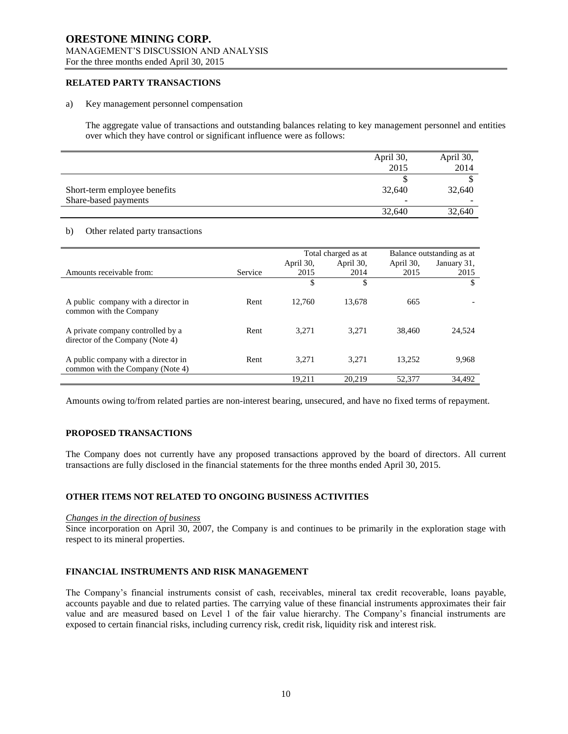# **ORESTONE MINING CORP.** MANAGEMENT'S DISCUSSION AND ANALYSIS

For the three months ended April 30, 2015

# **RELATED PARTY TRANSACTIONS**

#### a) Key management personnel compensation

The aggregate value of transactions and outstanding balances relating to key management personnel and entities over which they have control or significant influence were as follows:

|                              | April 30, | April 30, |
|------------------------------|-----------|-----------|
|                              | 2015      | 2014      |
|                              |           |           |
| Short-term employee benefits | 32.640    | 32,640    |
| Share-based payments         | -         | -         |
|                              | 32,640    | 32,640    |

## b) Other related party transactions

|                                                                         |         | Total charged as at |           | Balance outstanding as at |             |
|-------------------------------------------------------------------------|---------|---------------------|-----------|---------------------------|-------------|
|                                                                         |         | April 30,           | April 30, | April 30,                 | January 31, |
| Amounts receivable from:                                                | Service | 2015                | 2014      | 2015                      | 2015        |
|                                                                         |         | \$                  | \$        |                           | \$          |
|                                                                         |         |                     |           |                           |             |
| A public company with a director in<br>common with the Company          | Rent    | 12.760              | 13.678    | 665                       |             |
| A private company controlled by a<br>director of the Company (Note 4)   | Rent    | 3.271               | 3.271     | 38,460                    | 24,524      |
|                                                                         |         |                     |           |                           |             |
| A public company with a director in<br>common with the Company (Note 4) | Rent    | 3.271               | 3.271     | 13.252                    | 9,968       |
|                                                                         |         | 19.211              | 20.219    | 52,377                    | 34.492      |

Amounts owing to/from related parties are non-interest bearing, unsecured, and have no fixed terms of repayment.

## **PROPOSED TRANSACTIONS**

The Company does not currently have any proposed transactions approved by the board of directors. All current transactions are fully disclosed in the financial statements for the three months ended April 30, 2015.

## **OTHER ITEMS NOT RELATED TO ONGOING BUSINESS ACTIVITIES**

#### *Changes in the direction of business*

Since incorporation on April 30, 2007, the Company is and continues to be primarily in the exploration stage with respect to its mineral properties.

# **FINANCIAL INSTRUMENTS AND RISK MANAGEMENT**

The Company's financial instruments consist of cash, receivables, mineral tax credit recoverable, loans payable, accounts payable and due to related parties. The carrying value of these financial instruments approximates their fair value and are measured based on Level 1 of the fair value hierarchy. The Company's financial instruments are exposed to certain financial risks, including currency risk, credit risk, liquidity risk and interest risk.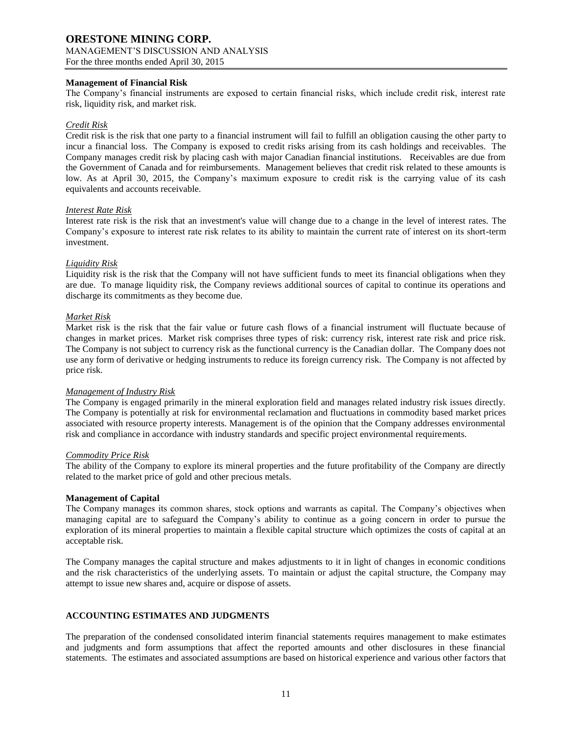# **Management of Financial Risk**

The Company's financial instruments are exposed to certain financial risks, which include credit risk, interest rate risk, liquidity risk, and market risk.

## *Credit Risk*

Credit risk is the risk that one party to a financial instrument will fail to fulfill an obligation causing the other party to incur a financial loss. The Company is exposed to credit risks arising from its cash holdings and receivables. The Company manages credit risk by placing cash with major Canadian financial institutions. Receivables are due from the Government of Canada and for reimbursements. Management believes that credit risk related to these amounts is low. As at April 30, 2015, the Company's maximum exposure to credit risk is the carrying value of its cash equivalents and accounts receivable.

## *Interest Rate Risk*

Interest rate risk is the risk that an investment's value will change due to a change in the level of interest rates. The Company's exposure to interest rate risk relates to its ability to maintain the current rate of interest on its short-term investment.

## *Liquidity Risk*

Liquidity risk is the risk that the Company will not have sufficient funds to meet its financial obligations when they are due. To manage liquidity risk, the Company reviews additional sources of capital to continue its operations and discharge its commitments as they become due.

## *Market Risk*

Market risk is the risk that the fair value or future cash flows of a financial instrument will fluctuate because of changes in market prices. Market risk comprises three types of risk: currency risk, interest rate risk and price risk. The Company is not subject to currency risk as the functional currency is the Canadian dollar. The Company does not use any form of derivative or hedging instruments to reduce its foreign currency risk. The Company is not affected by price risk.

## *Management of Industry Risk*

The Company is engaged primarily in the mineral exploration field and manages related industry risk issues directly. The Company is potentially at risk for environmental reclamation and fluctuations in commodity based market prices associated with resource property interests. Management is of the opinion that the Company addresses environmental risk and compliance in accordance with industry standards and specific project environmental requirements.

## *Commodity Price Risk*

The ability of the Company to explore its mineral properties and the future profitability of the Company are directly related to the market price of gold and other precious metals.

## **Management of Capital**

The Company manages its common shares, stock options and warrants as capital. The Company's objectives when managing capital are to safeguard the Company's ability to continue as a going concern in order to pursue the exploration of its mineral properties to maintain a flexible capital structure which optimizes the costs of capital at an acceptable risk.

The Company manages the capital structure and makes adjustments to it in light of changes in economic conditions and the risk characteristics of the underlying assets. To maintain or adjust the capital structure, the Company may attempt to issue new shares and, acquire or dispose of assets.

# **ACCOUNTING ESTIMATES AND JUDGMENTS**

The preparation of the condensed consolidated interim financial statements requires management to make estimates and judgments and form assumptions that affect the reported amounts and other disclosures in these financial statements. The estimates and associated assumptions are based on historical experience and various other factors that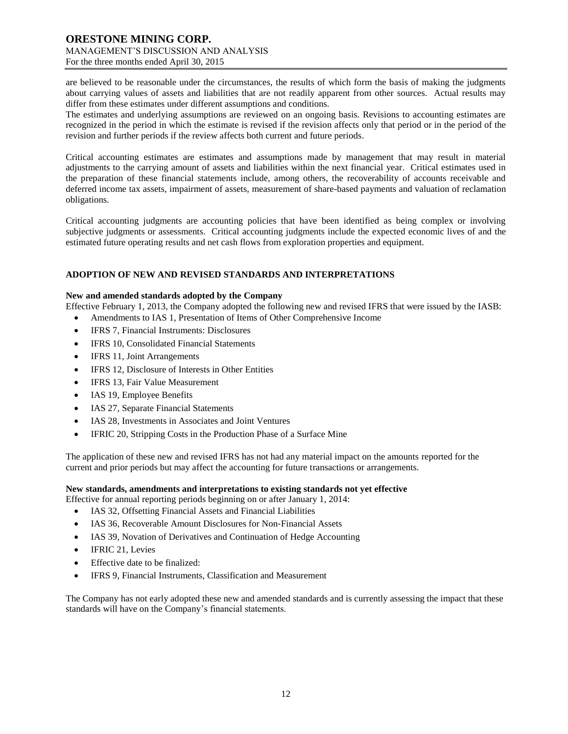are believed to be reasonable under the circumstances, the results of which form the basis of making the judgments about carrying values of assets and liabilities that are not readily apparent from other sources. Actual results may differ from these estimates under different assumptions and conditions.

The estimates and underlying assumptions are reviewed on an ongoing basis. Revisions to accounting estimates are recognized in the period in which the estimate is revised if the revision affects only that period or in the period of the revision and further periods if the review affects both current and future periods.

Critical accounting estimates are estimates and assumptions made by management that may result in material adjustments to the carrying amount of assets and liabilities within the next financial year. Critical estimates used in the preparation of these financial statements include, among others, the recoverability of accounts receivable and deferred income tax assets, impairment of assets, measurement of share-based payments and valuation of reclamation obligations.

Critical accounting judgments are accounting policies that have been identified as being complex or involving subjective judgments or assessments. Critical accounting judgments include the expected economic lives of and the estimated future operating results and net cash flows from exploration properties and equipment.

# **ADOPTION OF NEW AND REVISED STANDARDS AND INTERPRETATIONS**

## **New and amended standards adopted by the Company**

Effective February 1, 2013, the Company adopted the following new and revised IFRS that were issued by the IASB:

- Amendments to IAS 1, Presentation of Items of Other Comprehensive Income
- IFRS 7, Financial Instruments: Disclosures
- IFRS 10, Consolidated Financial Statements
- IFRS 11, Joint Arrangements
- IFRS 12, Disclosure of Interests in Other Entities
- IFRS 13, Fair Value Measurement
- IAS 19, Employee Benefits
- IAS 27, Separate Financial Statements
- IAS 28, Investments in Associates and Joint Ventures
- IFRIC 20, Stripping Costs in the Production Phase of a Surface Mine

The application of these new and revised IFRS has not had any material impact on the amounts reported for the current and prior periods but may affect the accounting for future transactions or arrangements.

# **New standards, amendments and interpretations to existing standards not yet effective**

- Effective for annual reporting periods beginning on or after January 1, 2014:
	- IAS 32, Offsetting Financial Assets and Financial Liabilities
	- IAS 36, Recoverable Amount Disclosures for Non‐Financial Assets
	- IAS 39, Novation of Derivatives and Continuation of Hedge Accounting
	- IFRIC 21, Levies
	- Effective date to be finalized:
	- IFRS 9, Financial Instruments, Classification and Measurement

The Company has not early adopted these new and amended standards and is currently assessing the impact that these standards will have on the Company's financial statements.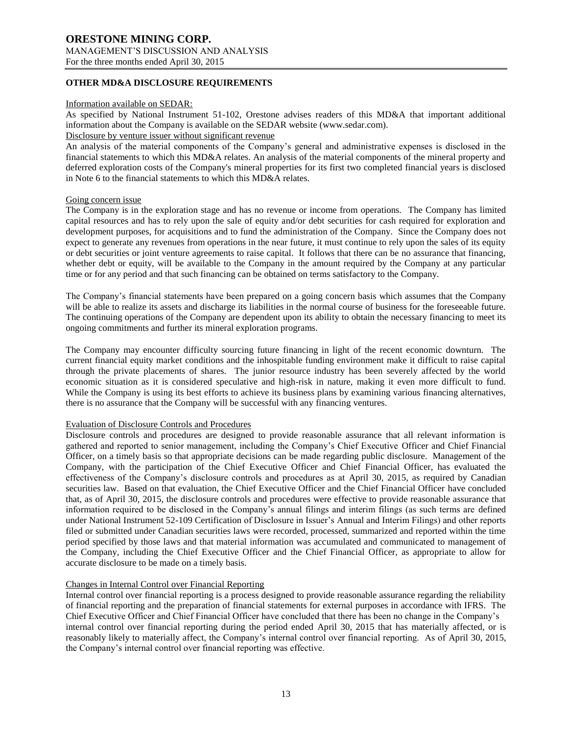# **ORESTONE MINING CORP.** MANAGEMENT'S DISCUSSION AND ANALYSIS

For the three months ended April 30, 2015

# **OTHER MD&A DISCLOSURE REQUIREMENTS**

## Information available on SEDAR:

As specified by National Instrument 51-102, Orestone advises readers of this MD&A that important additional information about the Company is available on the SEDAR website (www.sedar.com).

# Disclosure by venture issuer without significant revenue

An analysis of the material components of the Company's general and administrative expenses is disclosed in the financial statements to which this MD&A relates. An analysis of the material components of the mineral property and deferred exploration costs of the Company's mineral properties for its first two completed financial years is disclosed in Note 6 to the financial statements to which this MD&A relates.

## Going concern issue

The Company is in the exploration stage and has no revenue or income from operations. The Company has limited capital resources and has to rely upon the sale of equity and/or debt securities for cash required for exploration and development purposes, for acquisitions and to fund the administration of the Company. Since the Company does not expect to generate any revenues from operations in the near future, it must continue to rely upon the sales of its equity or debt securities or joint venture agreements to raise capital. It follows that there can be no assurance that financing, whether debt or equity, will be available to the Company in the amount required by the Company at any particular time or for any period and that such financing can be obtained on terms satisfactory to the Company.

The Company's financial statements have been prepared on a going concern basis which assumes that the Company will be able to realize its assets and discharge its liabilities in the normal course of business for the foreseeable future. The continuing operations of the Company are dependent upon its ability to obtain the necessary financing to meet its ongoing commitments and further its mineral exploration programs.

The Company may encounter difficulty sourcing future financing in light of the recent economic downturn. The current financial equity market conditions and the inhospitable funding environment make it difficult to raise capital through the private placements of shares. The junior resource industry has been severely affected by the world economic situation as it is considered speculative and high-risk in nature, making it even more difficult to fund. While the Company is using its best efforts to achieve its business plans by examining various financing alternatives, there is no assurance that the Company will be successful with any financing ventures.

## Evaluation of Disclosure Controls and Procedures

Disclosure controls and procedures are designed to provide reasonable assurance that all relevant information is gathered and reported to senior management, including the Company's Chief Executive Officer and Chief Financial Officer, on a timely basis so that appropriate decisions can be made regarding public disclosure. Management of the Company, with the participation of the Chief Executive Officer and Chief Financial Officer, has evaluated the effectiveness of the Company's disclosure controls and procedures as at April 30, 2015, as required by Canadian securities law. Based on that evaluation, the Chief Executive Officer and the Chief Financial Officer have concluded that, as of April 30, 2015, the disclosure controls and procedures were effective to provide reasonable assurance that information required to be disclosed in the Company's annual filings and interim filings (as such terms are defined under National Instrument 52-109 Certification of Disclosure in Issuer's Annual and Interim Filings) and other reports filed or submitted under Canadian securities laws were recorded, processed, summarized and reported within the time period specified by those laws and that material information was accumulated and communicated to management of the Company, including the Chief Executive Officer and the Chief Financial Officer, as appropriate to allow for accurate disclosure to be made on a timely basis.

# Changes in Internal Control over Financial Reporting

Internal control over financial reporting is a process designed to provide reasonable assurance regarding the reliability of financial reporting and the preparation of financial statements for external purposes in accordance with IFRS. The Chief Executive Officer and Chief Financial Officer have concluded that there has been no change in the Company's internal control over financial reporting during the period ended April 30, 2015 that has materially affected, or is reasonably likely to materially affect, the Company's internal control over financial reporting. As of April 30, 2015, the Company's internal control over financial reporting was effective.